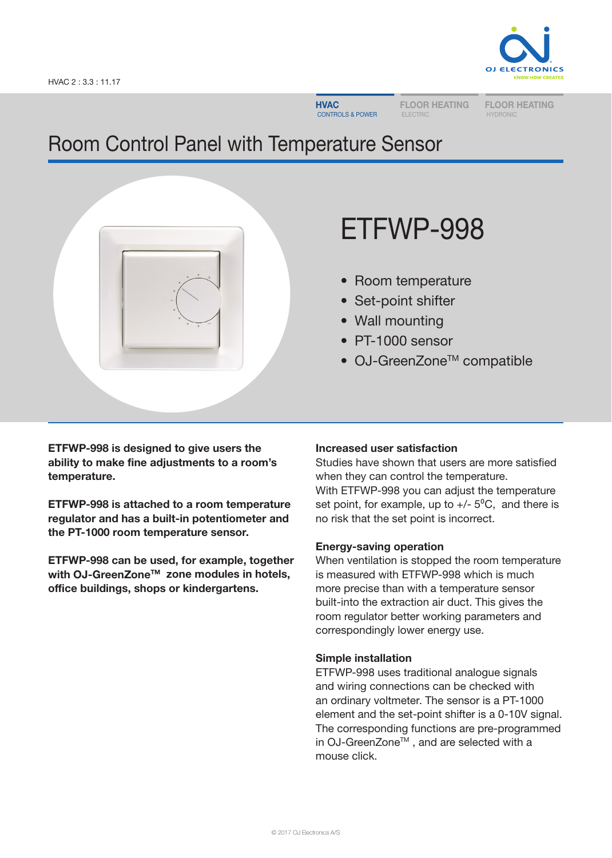

**HVAC** CONTROLS & POWER FLOOR HEATING ELECTRIC

FLOOR HEATING HYDRONIC

# Room Control Panel with Temperature Sensor



# ETFWP-998

- Room temperature
- Set-point shifter
- Wall mounting
- PT-1000 sensor
- OJ-GreenZone<sup>™</sup> compatible

ETFWP-998 is designed to give users the ability to make fine adjustments to a room's temperature.

ETFWP-998 is attached to a room temperature regulator and has a built-in potentiometer and the PT-1000 room temperature sensor.

ETFWP-998 can be used, for example, together with OJ-GreenZone™ zone modules in hotels, office buildings, shops or kindergartens.

# Increased user satisfaction

Studies have shown that users are more satisfied when they can control the temperature. With ETFWP-998 you can adjust the temperature set point, for example, up to  $+/- 5^{\circ}C$ , and there is no risk that the set point is incorrect.

# Energy-saving operation

When ventilation is stopped the room temperature is measured with ETFWP-998 which is much more precise than with a temperature sensor built-into the extraction air duct. This gives the room regulator better working parameters and correspondingly lower energy use.

# Simple installation

ETFWP-998 uses traditional analogue signals and wiring connections can be checked with an ordinary voltmeter. The sensor is a PT-1000 element and the set-point shifter is a 0-10V signal. The corresponding functions are pre-programmed in OJ-GreenZone™, and are selected with a mouse click.